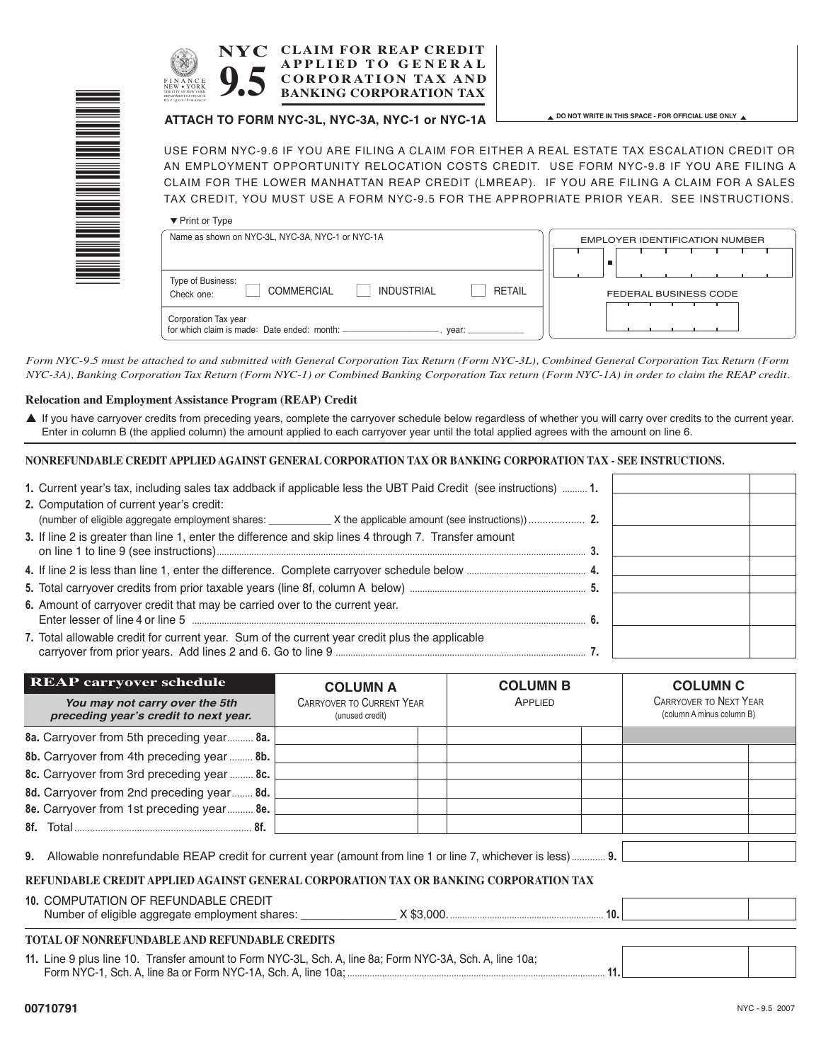| <b>CLAIM FOR REAP CREDIT</b><br><b>NYC</b><br><b>APPLIED TO GENERAL</b><br><b>CORPORATION TAX AND</b><br>FINANCE<br><b>BANKING CORPORATION TAX</b><br>nvc.gov/finance                                                                                                                                                                                                                                |                                                        |
|------------------------------------------------------------------------------------------------------------------------------------------------------------------------------------------------------------------------------------------------------------------------------------------------------------------------------------------------------------------------------------------------------|--------------------------------------------------------|
| ATTACH TO FORM NYC-3L, NYC-3A, NYC-1 or NYC-1A                                                                                                                                                                                                                                                                                                                                                       | A DO NOT WRITE IN THIS SPACE - FOR OFFICIAL USE ONLY A |
| USE FORM NYC-9.6 IF YOU ARE FILING A CLAIM FOR EITHER A REAL ESTATE TAX ESCALATION CREDIT OR<br>AN EMPLOYMENT OPPORTUNITY RELOCATION COSTS CREDIT. USE FORM NYC-9.8 IF YOU ARE FILING A<br>CLAIM FOR THE LOWER MANHATTAN REAP CREDIT (LMREAP). IF YOU ARE FILING A CLAIM FOR A SALES<br>TAX CREDIT, YOU MUST USE A FORM NYC-9.5 FOR THE APPROPRIATE PRIOR YEAR. SEE INSTRUCTIONS.<br>▼ Print or Type |                                                        |
| Name as shown on NYC-3L, NYC-3A, NYC-1 or NYC-1A                                                                                                                                                                                                                                                                                                                                                     | EMPLOYER IDENTIFICATION NUMBER                         |
| Type of Business:<br><b>INDUSTRIAL</b><br><b>COMMERCIAL</b><br>Check one:                                                                                                                                                                                                                                                                                                                            | <b>RETAIL</b><br><b>FEDERAL BUSINESS CODE</b>          |
| Corporation Tax year                                                                                                                                                                                                                                                                                                                                                                                 |                                                        |

Form NYC-9.5 must be attached to and submitted with General Corporation Tax Return (Form NYC-3L), Combined General Corporation Tax Return (Form NYC-3A), Banking Corporation Tax Return (Form NYC-1) or Combined Banking Corporation Tax return (Form NYC-1A) in order to claim the REAP credit.

#### **Relocation and Employment Assistance Program (REAP) Credit**

▲ If you have carryover credits from preceding years, complete the carryover schedule below regardless of whether you will carry over credits to the current year. Enter in column B (the applied column) the amount applied to each carryover year until the total applied agrees with the amount on line 6.

#### **NONREFUNDABLE CREDIT APPLIED AGAINST GENERAL CORPORATION TAX OR BANKING CORPORATION TAX - SEE INSTRUCTIONS.**

for which claim is made: Date ended: month: \_\_\_\_\_\_\_\_\_\_\_\_\_\_\_\_\_\_\_\_\_\_\_\_\_\_\_, year:

| 1. Current year's tax, including sales tax addback if applicable less the UBT Paid Credit (see instructions)  1.                                                                                                    |  |  |
|---------------------------------------------------------------------------------------------------------------------------------------------------------------------------------------------------------------------|--|--|
| 2. Computation of current year's credit:                                                                                                                                                                            |  |  |
|                                                                                                                                                                                                                     |  |  |
| 3. If line 2 is greater than line 1, enter the difference and skip lines 4 through 7. Transfer amount                                                                                                               |  |  |
|                                                                                                                                                                                                                     |  |  |
|                                                                                                                                                                                                                     |  |  |
| 6. Amount of carryover credit that may be carried over to the current year.<br>Enter lesser of line 4 or line 5 measurements and the contract of line 4 or line 5 measurements and the contract of line 4 or line 5 |  |  |
| 7. Total allowable credit for current year. Sum of the current year credit plus the applicable                                                                                                                      |  |  |

| <b>REAP carryover schedule</b>                                                                                                                                                                                                      | <b>COLUMN A</b>                                     | <b>COLUMN B</b> | <b>COLUMN C</b>                                            |
|-------------------------------------------------------------------------------------------------------------------------------------------------------------------------------------------------------------------------------------|-----------------------------------------------------|-----------------|------------------------------------------------------------|
| You may not carry over the 5th<br>preceding year's credit to next year.                                                                                                                                                             | <b>CARRYOVER TO CURRENT YEAR</b><br>(unused credit) | APPLIED         | <b>CARRYOVER TO NEXT YEAR</b><br>(column A minus column B) |
| 8a. Carryover from 5th preceding year 8a.                                                                                                                                                                                           |                                                     |                 |                                                            |
| 8b. Carryover from 4th preceding year  8b.                                                                                                                                                                                          |                                                     |                 |                                                            |
| 8c. Carryover from 3rd preceding year  8c.                                                                                                                                                                                          |                                                     |                 |                                                            |
| 8d. Carryover from 2nd preceding year 8d.                                                                                                                                                                                           |                                                     |                 |                                                            |
| 8e. Carryover from 1st preceding year 8e.                                                                                                                                                                                           |                                                     |                 |                                                            |
| 8f. Total and the contract of the contract of the contract of the contract of the contract of the contract of the contract of the contract of the contract of the contract of the contract of the contract of the contract of<br>8f |                                                     |                 |                                                            |
| Allowable nonrefundable REAP credit for current year (amount from line 1 or line 7, whichever is less)  9.<br>9.                                                                                                                    |                                                     |                 |                                                            |
|                                                                                                                                                                                                                                     |                                                     |                 |                                                            |

### **REFUNDABLE CREDIT APPLIED AGAINST GENERAL CORPORATION TAX OR BANKING CORPORATION TAX**

#### **10.** COMPUTATION OF REFUNDABLE CREDIT

| Number of eligible aggregate employment shares: |  |
|-------------------------------------------------|--|
|                                                 |  |

#### **TOTAL OF NONREFUNDABLE AND REFUNDABLE CREDITS**

**11.** Line 9 plus line 10. Transfer amount to Form NYC-3L, Sch. A, line 8a; Form NYC-3A, Sch. A, line 10a; Form NYC-1, Sch. A, line 8a or Form NYC-1A, Sch. A, line 10a; ........................................................................................................ **11.**